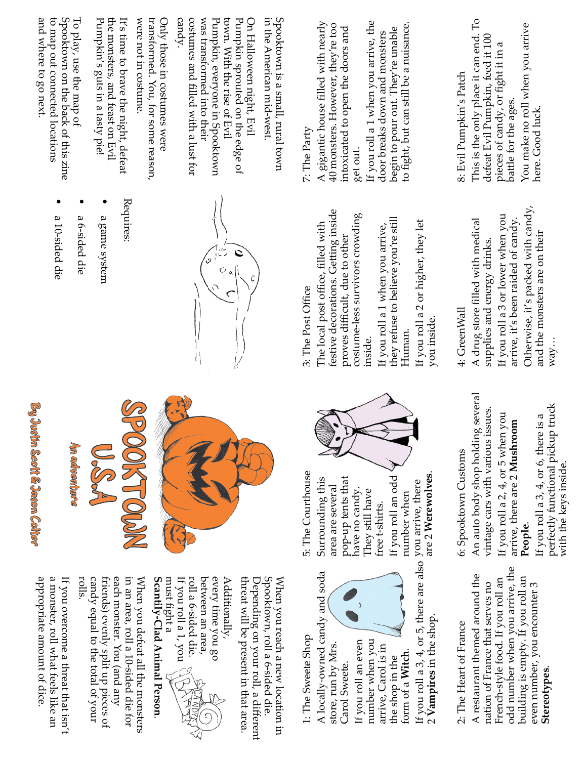and where to go next. Spooktown on the back of this zine were not in costume. costumes and filled with a lust for<br>candy. Spooktown is a small, rural town to map out connected locations To play, use the map of Pumpkin's guts in a tasty pie! the monsters, and teast on Evil It's time to brave the night, defeat transformed. You, for some reason, Only those in costumes were was transformed into their Pumpkin, everyone in Spooktown town. With the rise of Evil Pumpkin sprouted on the edge of On Halloween night, Evil in the American mid-west. 8: Evil Pumpkin's Patch<br>This is the only place it can end. To<br>defeat Evil Pumpkin, feed it 100 and where to go next. Spooktown on the back of this :<br>to map out connected locations Spooktown on the back of this zine To play, use the map of Pumpkin's guts in a tasty pie! the monsters, and feast on Evil It's time to brave the night, defeat were not in costume. transformed. You, for some reason, Only those in costumes were costumes and filled with a lust for was transformed into their r unipromentier of Evil<br>town. With the rise of Evil<br>Pumpkin, everyone in Spooktown town. With the rise of Evil Pumpkin sprouted on the edge of On Halloween night, Evil in the American mid-west. Spooktown is a small, rural town This is the only place it can end. To<br>defeat Evil Pumpkin, feed it 100<br>pieces of candy, or fight it in a 7: The Party<br>A gigantic house filled with nearly<br>40 monsters. However, they're too A gigantic house filled with nearly<br>40 monsters. However, they're too<br>intoxicated to open the doors and intoxicated to open the doors and<br>get out.<br>If you roll a 1 when you arrive, the to fight, but can still be a nuisance. If you roll a 1 when you arrive, the to fight, but can still be a nuisance. 40 monsters. However, they're too<br>intoxicated to open the doors and<br>get out. begin to pour out. They're unable You make no roll when you arrive begin to pour out. They're unable door breaks down and monsters door breaks down and monsters<br>begin to pour out. They're unabl defeat Evil Pumpkin, feed it 100 pieces of candy, or fight it in a ba�le for the ages. here. Good luck. get out. Requires:

By Justin Scott & Jason Colter

Am adventure

appropriate amount of dice. a monster, roll what feels like an If you overcome a threat that isn't appropriate amount of dice. If you overcome a threat that isn<br>a monster, roll what feels like an

When you defeat all the monsters<br>in an area, roll a 10-sided die for<br>each monster. You (and any in an area, roll a 10-sided die for When you defeat all the monsters

friends) evenly split up pieces of eacu monster. 10u (antu any<br>friends) evenly split up pieces of

If you overcome a threat that isn't candy equal to the total of your<br>rolls. candy equal to the total of your









threat will be present in that area. threat will be present in that area.

every time you go Additionally,

Spooktown, roll a 6-sided die. Depending on your roll, a different When you reach a new location in Depending on your roll, a different Spooktown, roll a 6-sided die. When you reach a new location in

1: The Sweete Shop<br>A locally-owned candy and soda

A locally-owned candy and soda<br>store, run by Mrs.<br>Carol Sweete store, run by Mrs.

Carol Sweete.<br>If you roll an even If you roll an even number when you arrive, Carol is in the shop in the

form of a **Witch**. If you roll a 3, 4, or 5, there are also<br>2 **Vampires** in the shop. 2 **Vampires** in the shop.

2: The Heart of France<br>A restaurant themed around the<br>nation of France that serves no A restaurant themed around the<br>nation of France that serves no<br>Franch-etrile food If wou roll an French-style food. If you roll an<br>odd number when you arrive, the building is empty. If you roll an odd number when you arrive, the<br>building is empty. If you roll an<br>avan number, you ancounter 3 building is empty. If you roll an even number, you encounter 3 **Stereotypes**.

5: The Courthouse Surrounding this area are several pop-up tents that have no candy. They still have free t-shirts.<br>If you roll an odd If you roll an odd<br>number when<br>you arrive, there<br>are 2 **Werewolves** are 2 **Werewolves**.

 $\overline{)}$ 



6: Spooktown Customs<br>An auto body shop holding several<br>vintage cars with various issues. An auto body shop holding several<br>vintage cars with various issues. vintage cars with various issues. If you roll a 2, 4, or 5 when you

arrive, there are 2 **Mushroom**<br>**People.**<br>If you roll a 3, 4, or 6, there is a<br>perfectly functional pickup truck<br>with the keys inside. **People.**<br>If you roll a 3, 4, or 6, there is a with the keys inside.



festive decorations. Getting inside<br>proves difficult, due to other festive decorations. Getting inside<br>proves difficult, due to other<br>costuma-lase surrijuore crowding costume-less survivors crowding<br>inside.<br>If you roll a 1 when you arrive,

they refuse to believe you're still they refuse to believe you're still<br>Human. If you roll a 1 when you arrive,

If you roll a 3 or lower when you<br>arrive, it's been raided of candy.<br>Otherwise, it's packed with candy, Otherwise, it's packed with candy, 4: GreenWall A drug store filled with medical<br>supplies and energy drinks. arrive, it's been raided of candy. and the monsters are on their and the monsters are on their<br>way... supplies and energy drinks. supplies and energy drinks.<br>If  $\ldots$  and a 2 carbon subset way…

- a game system
- a 6-sided die
- 
- a 10-sided die



3: The Post Office proves difficult, due to other inside.

Human.<br>If you roll a 2 or higher, they let

If you roll a 2 or higher, they let you inside.